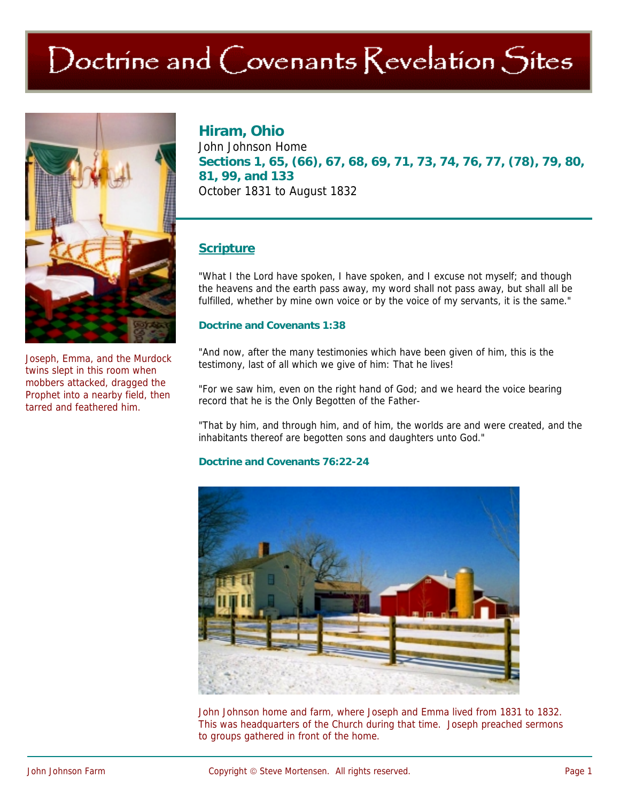# Doctrine and Covenants Revelation Sites



Joseph, Emma, and the Murdock twins slept in this room when mobbers attacked, dragged the Prophet into a nearby field, then tarred and feathered him.

**Hiram, Ohio**  John Johnson Home **Sections 1, 65, (66), 67, 68, 69, 71, 73, 74, 76, 77, (78), 79, 80, 81, 99, and 133**  October 1831 to August 1832

# **Scripture**

"What I the Lord have spoken, I have spoken, and I excuse not myself; and though the heavens and the earth pass away, my word shall not pass away, but shall all be fulfilled, whether by mine own voice or by the voice of my servants, it is the same."

#### **Doctrine and Covenants 1:38**

"And now, after the many testimonies which have been given of him, this is the testimony, last of all which we give of him: That he lives!

"For we saw him, even on the right hand of God; and we heard the voice bearing record that he is the Only Begotten of the Father-

"That by him, and through him, and of him, the worlds are and were created, and the inhabitants thereof are begotten sons and daughters unto God."

#### **Doctrine and Covenants 76:22-24**



John Johnson home and farm, where Joseph and Emma lived from 1831 to 1832. This was headquarters of the Church during that time. Joseph preached sermons to groups gathered in front of the home.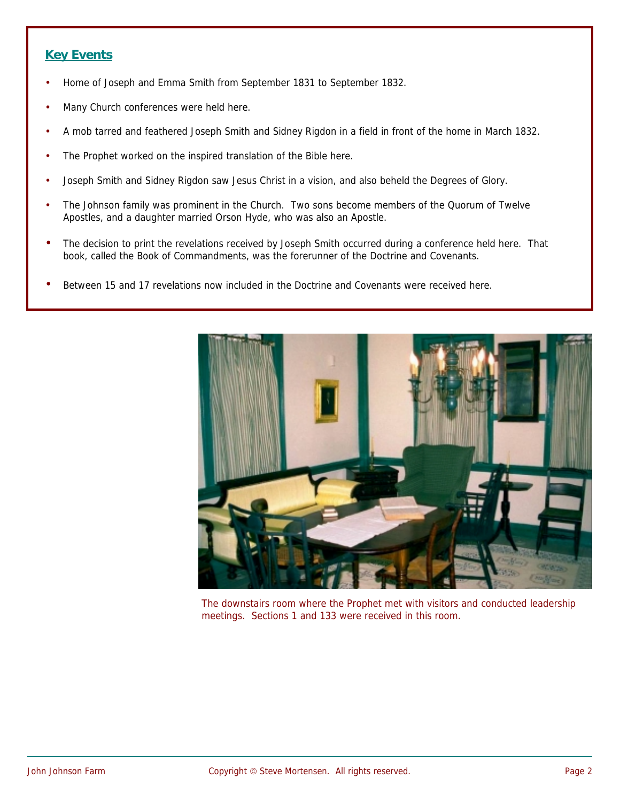## **Key Events**

- Home of Joseph and Emma Smith from September 1831 to September 1832.
- Many Church conferences were held here.
- A mob tarred and feathered Joseph Smith and Sidney Rigdon in a field in front of the home in March 1832.
- The Prophet worked on the inspired translation of the Bible here.
- Joseph Smith and Sidney Rigdon saw Jesus Christ in a vision, and also beheld the Degrees of Glory.
- The Johnson family was prominent in the Church. Two sons become members of the Quorum of Twelve Apostles, and a daughter married Orson Hyde, who was also an Apostle.
- The decision to print the revelations received by Joseph Smith occurred during a conference held here. That book, called the Book of Commandments, was the forerunner of the Doctrine and Covenants.
- Between 15 and 17 revelations now included in the Doctrine and Covenants were received here.



The downstairs room where the Prophet met with visitors and conducted leadership meetings. Sections 1 and 133 were received in this room.